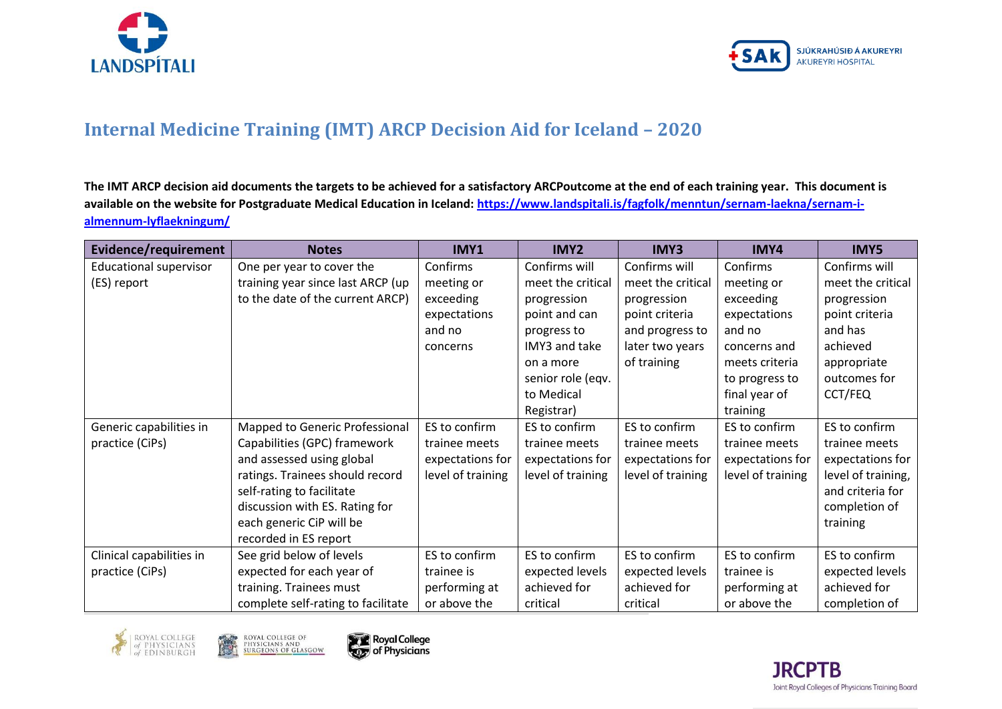



## **Internal Medicine Training (IMT) ARCP Decision Aid for Iceland – 2020**

**The IMT ARCP decision aid documents the targets to be achieved for a satisfactory ARCPoutcome at the end of each training year. This document is available on the website for Postgraduate Medical Education in Iceland: [https://www.landspitali.is/fagfolk/menntun/sernam-laekna/sernam-i](https://www.landspitali.is/fagfolk/menntun/sernam-laekna/sernam-i-almennum-lyflaekningum/)[almennum-lyflaekningum/](https://www.landspitali.is/fagfolk/menntun/sernam-laekna/sernam-i-almennum-lyflaekningum/)**

| Evidence/requirement          | <b>Notes</b>                       | IMY1              | IMY2              | IMY3              | IMY4              | IMY5               |
|-------------------------------|------------------------------------|-------------------|-------------------|-------------------|-------------------|--------------------|
| <b>Educational supervisor</b> | One per year to cover the          | Confirms          | Confirms will     | Confirms will     | Confirms          | Confirms will      |
| (ES) report                   | training year since last ARCP (up  | meeting or        | meet the critical | meet the critical | meeting or        | meet the critical  |
|                               | to the date of the current ARCP)   | exceeding         | progression       | progression       | exceeding         | progression        |
|                               |                                    | expectations      | point and can     | point criteria    | expectations      | point criteria     |
|                               |                                    | and no            | progress to       | and progress to   | and no            | and has            |
|                               |                                    | concerns          | IMY3 and take     | later two years   | concerns and      | achieved           |
|                               |                                    |                   | on a more         | of training       | meets criteria    | appropriate        |
|                               |                                    |                   | senior role (eqv. |                   | to progress to    | outcomes for       |
|                               |                                    |                   | to Medical        |                   | final year of     | CCT/FEQ            |
|                               |                                    |                   | Registrar)        |                   | training          |                    |
| Generic capabilities in       | Mapped to Generic Professional     | ES to confirm     | ES to confirm     | ES to confirm     | ES to confirm     | ES to confirm      |
| practice (CiPs)               | Capabilities (GPC) framework       | trainee meets     | trainee meets     | trainee meets     | trainee meets     | trainee meets      |
|                               | and assessed using global          | expectations for  | expectations for  | expectations for  | expectations for  | expectations for   |
|                               | ratings. Trainees should record    | level of training | level of training | level of training | level of training | level of training, |
|                               | self-rating to facilitate          |                   |                   |                   |                   | and criteria for   |
|                               | discussion with ES. Rating for     |                   |                   |                   |                   | completion of      |
|                               | each generic CiP will be           |                   |                   |                   |                   | training           |
|                               | recorded in ES report              |                   |                   |                   |                   |                    |
| Clinical capabilities in      | See grid below of levels           | ES to confirm     | ES to confirm     | ES to confirm     | ES to confirm     | ES to confirm      |
| practice (CiPs)               | expected for each year of          | trainee is        | expected levels   | expected levels   | trainee is        | expected levels    |
|                               | training. Trainees must            | performing at     | achieved for      | achieved for      | performing at     | achieved for       |
|                               | complete self-rating to facilitate | or above the      | critical          | critical          | or above the      | completion of      |







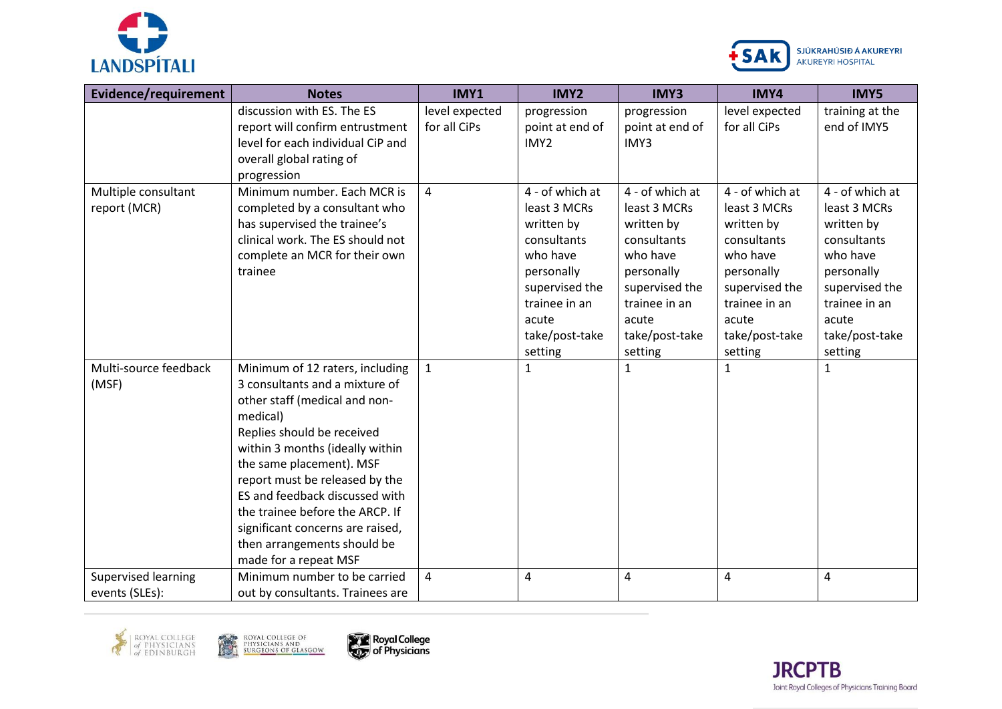



| Evidence/requirement                         | <b>Notes</b>                                                                                                                                                                                                                                                                                                                                                                                                   | IMY1                           | <b>IMY2</b>                                                                                                                                                     | <b>IMY3</b>                                                                                                                                                     | IMY4                                                                                                                                                            | <b>IMY5</b>                                                                                                                                                     |
|----------------------------------------------|----------------------------------------------------------------------------------------------------------------------------------------------------------------------------------------------------------------------------------------------------------------------------------------------------------------------------------------------------------------------------------------------------------------|--------------------------------|-----------------------------------------------------------------------------------------------------------------------------------------------------------------|-----------------------------------------------------------------------------------------------------------------------------------------------------------------|-----------------------------------------------------------------------------------------------------------------------------------------------------------------|-----------------------------------------------------------------------------------------------------------------------------------------------------------------|
|                                              | discussion with ES. The ES<br>report will confirm entrustment<br>level for each individual CiP and<br>overall global rating of<br>progression                                                                                                                                                                                                                                                                  | level expected<br>for all CiPs | progression<br>point at end of<br>IMY2                                                                                                                          | progression<br>point at end of<br>IMY3                                                                                                                          | level expected<br>for all CiPs                                                                                                                                  | training at the<br>end of IMY5                                                                                                                                  |
| Multiple consultant<br>report (MCR)          | Minimum number. Each MCR is<br>completed by a consultant who<br>has supervised the trainee's<br>clinical work. The ES should not<br>complete an MCR for their own<br>trainee                                                                                                                                                                                                                                   | 4                              | 4 - of which at<br>least 3 MCRs<br>written by<br>consultants<br>who have<br>personally<br>supervised the<br>trainee in an<br>acute<br>take/post-take<br>setting | 4 - of which at<br>least 3 MCRs<br>written by<br>consultants<br>who have<br>personally<br>supervised the<br>trainee in an<br>acute<br>take/post-take<br>setting | 4 - of which at<br>least 3 MCRs<br>written by<br>consultants<br>who have<br>personally<br>supervised the<br>trainee in an<br>acute<br>take/post-take<br>setting | 4 - of which at<br>least 3 MCRs<br>written by<br>consultants<br>who have<br>personally<br>supervised the<br>trainee in an<br>acute<br>take/post-take<br>setting |
| Multi-source feedback<br>(MSF)               | Minimum of 12 raters, including<br>3 consultants and a mixture of<br>other staff (medical and non-<br>medical)<br>Replies should be received<br>within 3 months (ideally within<br>the same placement). MSF<br>report must be released by the<br>ES and feedback discussed with<br>the trainee before the ARCP. If<br>significant concerns are raised,<br>then arrangements should be<br>made for a repeat MSF | $\mathbf{1}$                   | 1                                                                                                                                                               | $\mathbf{1}$                                                                                                                                                    | $\mathbf{1}$                                                                                                                                                    | $\mathbf{1}$                                                                                                                                                    |
| <b>Supervised learning</b><br>events (SLEs): | Minimum number to be carried<br>out by consultants. Trainees are                                                                                                                                                                                                                                                                                                                                               | 4                              | 4                                                                                                                                                               | 4                                                                                                                                                               | $\overline{a}$                                                                                                                                                  | 4                                                                                                                                                               |







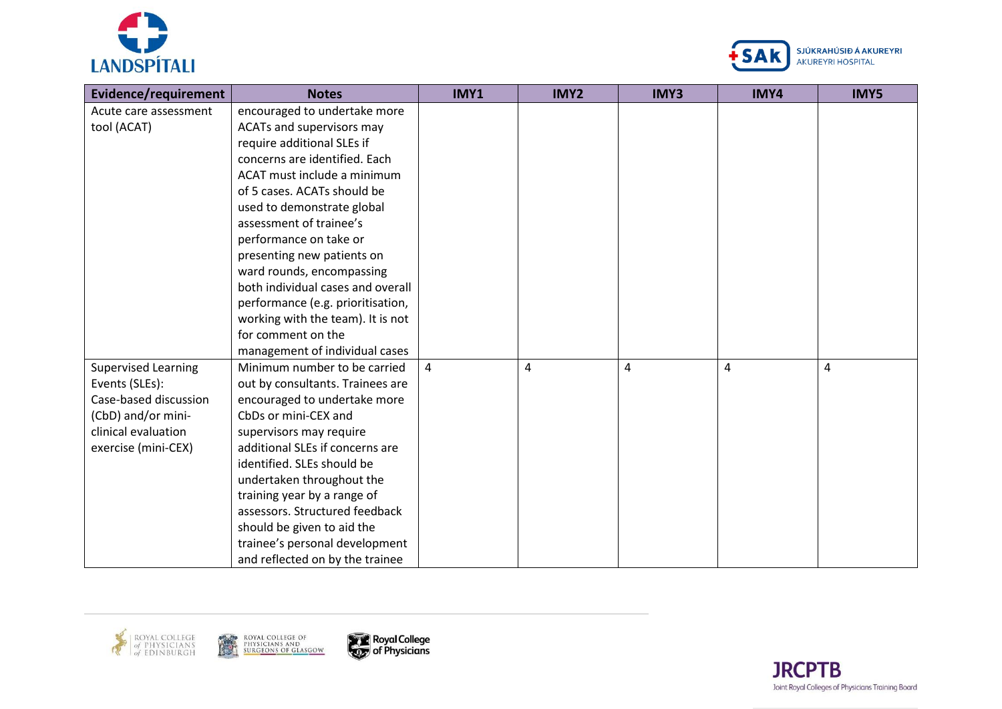



| Evidence/requirement       | <b>Notes</b>                      | IMY1           | IMY2 | IMY3           | IMY4 | IMY5 |
|----------------------------|-----------------------------------|----------------|------|----------------|------|------|
| Acute care assessment      | encouraged to undertake more      |                |      |                |      |      |
| tool (ACAT)                | ACATs and supervisors may         |                |      |                |      |      |
|                            | require additional SLEs if        |                |      |                |      |      |
|                            | concerns are identified. Each     |                |      |                |      |      |
|                            | ACAT must include a minimum       |                |      |                |      |      |
|                            | of 5 cases. ACATs should be       |                |      |                |      |      |
|                            | used to demonstrate global        |                |      |                |      |      |
|                            | assessment of trainee's           |                |      |                |      |      |
|                            | performance on take or            |                |      |                |      |      |
|                            | presenting new patients on        |                |      |                |      |      |
|                            | ward rounds, encompassing         |                |      |                |      |      |
|                            | both individual cases and overall |                |      |                |      |      |
|                            | performance (e.g. prioritisation, |                |      |                |      |      |
|                            | working with the team). It is not |                |      |                |      |      |
|                            | for comment on the                |                |      |                |      |      |
|                            | management of individual cases    |                |      |                |      |      |
| <b>Supervised Learning</b> | Minimum number to be carried      | $\overline{4}$ | 4    | $\overline{4}$ | 4    | 4    |
| Events (SLEs):             | out by consultants. Trainees are  |                |      |                |      |      |
| Case-based discussion      | encouraged to undertake more      |                |      |                |      |      |
| (CbD) and/or mini-         | CbDs or mini-CEX and              |                |      |                |      |      |
| clinical evaluation        | supervisors may require           |                |      |                |      |      |
| exercise (mini-CEX)        | additional SLEs if concerns are   |                |      |                |      |      |
|                            | identified. SLEs should be        |                |      |                |      |      |
|                            | undertaken throughout the         |                |      |                |      |      |
|                            | training year by a range of       |                |      |                |      |      |
|                            | assessors. Structured feedback    |                |      |                |      |      |
|                            | should be given to aid the        |                |      |                |      |      |
|                            | trainee's personal development    |                |      |                |      |      |
|                            | and reflected on by the trainee   |                |      |                |      |      |





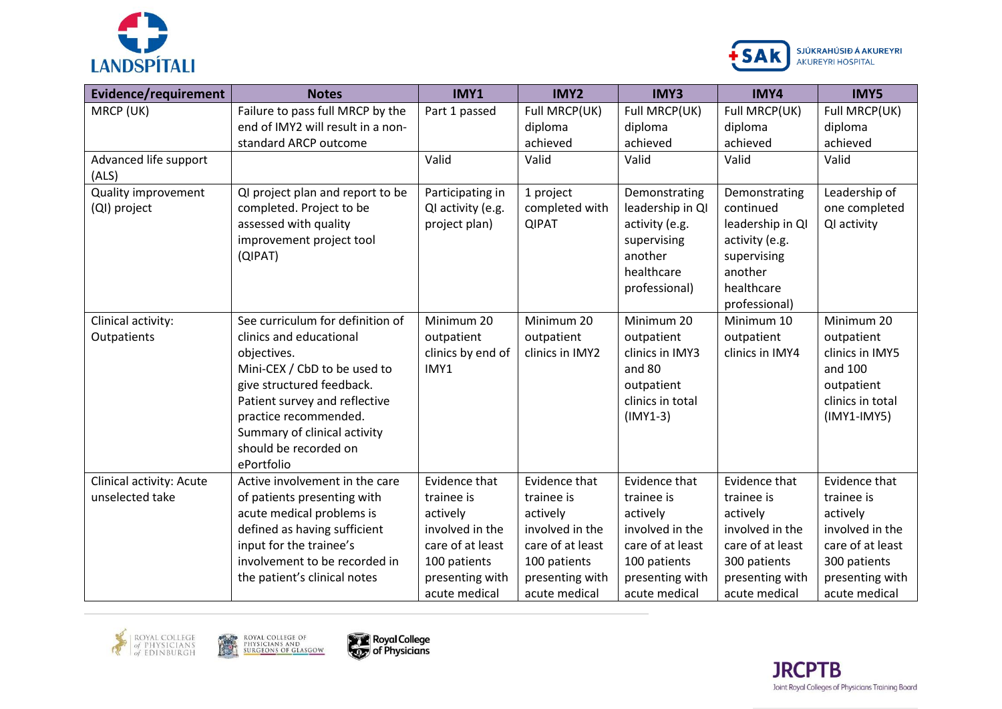



| Evidence/requirement                | <b>Notes</b>                                                          | IMY1                                  | IMY2                                      | <b>IMY3</b>                                                             | <b>IMY5</b>                                                                                 |                                 |
|-------------------------------------|-----------------------------------------------------------------------|---------------------------------------|-------------------------------------------|-------------------------------------------------------------------------|---------------------------------------------------------------------------------------------|---------------------------------|
| MRCP (UK)                           | Failure to pass full MRCP by the<br>end of IMY2 will result in a non- | Part 1 passed                         | Full MRCP(UK)<br>Full MRCP(UK)<br>diploma |                                                                         | Full MRCP(UK)<br>diploma                                                                    | Full MRCP(UK)<br>diploma        |
|                                     | standard ARCP outcome                                                 |                                       | achieved                                  | diploma<br>achieved                                                     | achieved                                                                                    | achieved                        |
| Advanced life support<br>(ALS)      |                                                                       | Valid                                 | Valid                                     | Valid                                                                   | Valid                                                                                       | Valid                           |
| Quality improvement<br>(QI) project | QI project plan and report to be<br>completed. Project to be          | Participating in<br>QI activity (e.g. | 1 project<br>completed with               | Demonstrating<br>leadership in QI                                       | Demonstrating<br>continued                                                                  | Leadership of<br>one completed  |
| (QIPAT)                             | assessed with quality<br>improvement project tool                     | project plan)                         | <b>QIPAT</b>                              | activity (e.g.<br>supervising<br>another<br>healthcare<br>professional) | leadership in QI<br>activity (e.g.<br>supervising<br>another<br>healthcare<br>professional) | QI activity                     |
| Clinical activity:                  | See curriculum for definition of                                      | Minimum 20                            | Minimum 20                                | Minimum 20                                                              | Minimum 10                                                                                  | Minimum 20                      |
| Outpatients                         | clinics and educational<br>objectives.                                | outpatient<br>clinics by end of       | outpatient<br>clinics in IMY2             | outpatient<br>clinics in IMY3                                           | outpatient<br>clinics in IMY4                                                               | outpatient<br>clinics in IMY5   |
|                                     | Mini-CEX / CbD to be used to                                          | IMY1                                  |                                           | and 80                                                                  |                                                                                             | and 100                         |
|                                     | give structured feedback.                                             |                                       |                                           | outpatient                                                              |                                                                                             | outpatient                      |
|                                     | Patient survey and reflective                                         |                                       |                                           | clinics in total                                                        |                                                                                             | clinics in total                |
|                                     | practice recommended.                                                 |                                       |                                           | $(IMY1-3)$                                                              |                                                                                             | $(IMY1-IMY5)$                   |
|                                     | Summary of clinical activity                                          |                                       |                                           |                                                                         |                                                                                             |                                 |
|                                     | should be recorded on<br>ePortfolio                                   |                                       |                                           |                                                                         |                                                                                             |                                 |
| Clinical activity: Acute            | Active involvement in the care                                        | Evidence that                         | Evidence that                             | Evidence that                                                           | Evidence that                                                                               | Evidence that                   |
| unselected take                     | of patients presenting with                                           | trainee is                            | trainee is                                | trainee is                                                              | trainee is                                                                                  | trainee is                      |
|                                     | acute medical problems is                                             | actively                              | actively                                  | actively                                                                | actively                                                                                    | actively                        |
|                                     | defined as having sufficient                                          | involved in the                       | involved in the                           | involved in the                                                         | involved in the                                                                             | involved in the                 |
|                                     | input for the trainee's<br>involvement to be recorded in              | care of at least                      | care of at least                          | care of at least                                                        | care of at least                                                                            | care of at least                |
|                                     | the patient's clinical notes                                          | 100 patients<br>presenting with       | 100 patients<br>presenting with           | 100 patients<br>presenting with                                         | 300 patients<br>presenting with                                                             | 300 patients<br>presenting with |
|                                     |                                                                       | acute medical                         | acute medical                             | acute medical                                                           | acute medical                                                                               | acute medical                   |





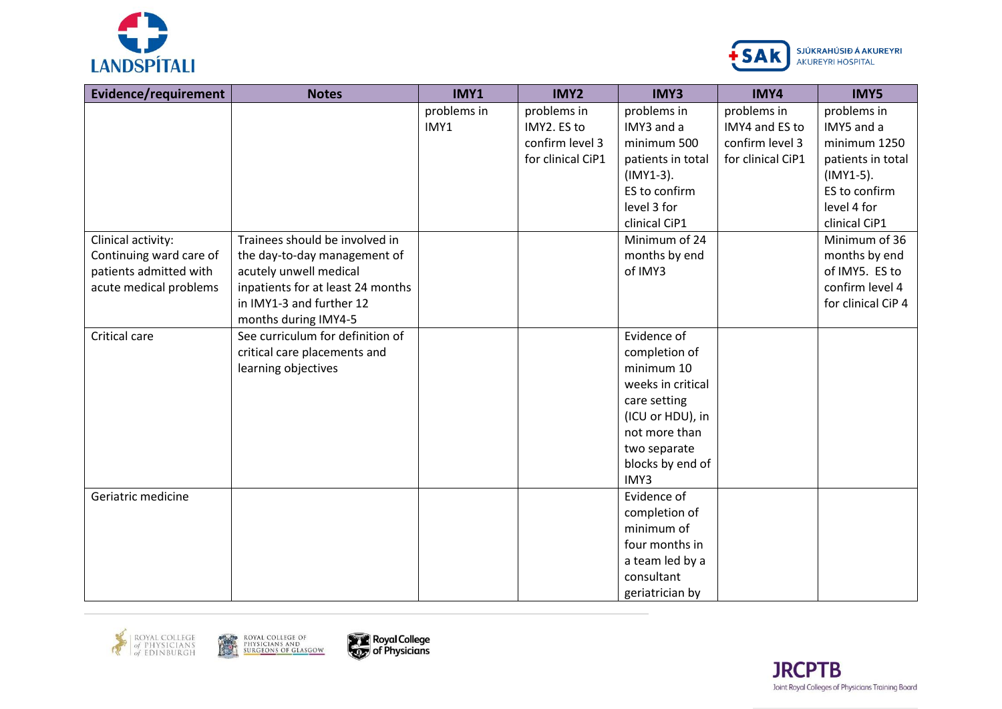



| <b>Evidence/requirement</b> | <b>Notes</b>                      | IMY1        | IMY2              | IMY3              | IMY4              | <b>IMY5</b>        |
|-----------------------------|-----------------------------------|-------------|-------------------|-------------------|-------------------|--------------------|
|                             |                                   | problems in | problems in       | problems in       | problems in       | problems in        |
|                             |                                   | IMY1        | IMY2. ES to       | IMY3 and a        | IMY4 and ES to    | IMY5 and a         |
|                             |                                   |             | confirm level 3   | minimum 500       | confirm level 3   | minimum 1250       |
|                             |                                   |             | for clinical CiP1 | patients in total | for clinical CiP1 | patients in total  |
|                             |                                   |             |                   | $(IMY1-3).$       |                   | $(IMY1-5).$        |
|                             |                                   |             |                   | ES to confirm     |                   | ES to confirm      |
|                             |                                   |             |                   | level 3 for       |                   | level 4 for        |
|                             |                                   |             |                   | clinical CiP1     |                   | clinical CiP1      |
| Clinical activity:          | Trainees should be involved in    |             |                   | Minimum of 24     |                   | Minimum of 36      |
| Continuing ward care of     | the day-to-day management of      |             |                   | months by end     |                   | months by end      |
| patients admitted with      | acutely unwell medical            |             |                   | of IMY3           |                   | of IMY5. ES to     |
| acute medical problems      | inpatients for at least 24 months |             |                   |                   |                   | confirm level 4    |
|                             | in IMY1-3 and further 12          |             |                   |                   |                   | for clinical CiP 4 |
|                             | months during IMY4-5              |             |                   |                   |                   |                    |
| Critical care               | See curriculum for definition of  |             |                   | Evidence of       |                   |                    |
|                             | critical care placements and      |             |                   | completion of     |                   |                    |
|                             | learning objectives               |             |                   | minimum 10        |                   |                    |
|                             |                                   |             |                   | weeks in critical |                   |                    |
|                             |                                   |             |                   | care setting      |                   |                    |
|                             |                                   |             |                   | (ICU or HDU), in  |                   |                    |
|                             |                                   |             |                   | not more than     |                   |                    |
|                             |                                   |             |                   | two separate      |                   |                    |
|                             |                                   |             |                   | blocks by end of  |                   |                    |
|                             |                                   |             |                   | IMY3              |                   |                    |
| Geriatric medicine          |                                   |             |                   | Evidence of       |                   |                    |
|                             |                                   |             |                   | completion of     |                   |                    |
|                             |                                   |             |                   | minimum of        |                   |                    |
|                             |                                   |             |                   | four months in    |                   |                    |
|                             |                                   |             |                   | a team led by a   |                   |                    |
|                             |                                   |             |                   | consultant        |                   |                    |
|                             |                                   |             |                   | geriatrician by   |                   |                    |







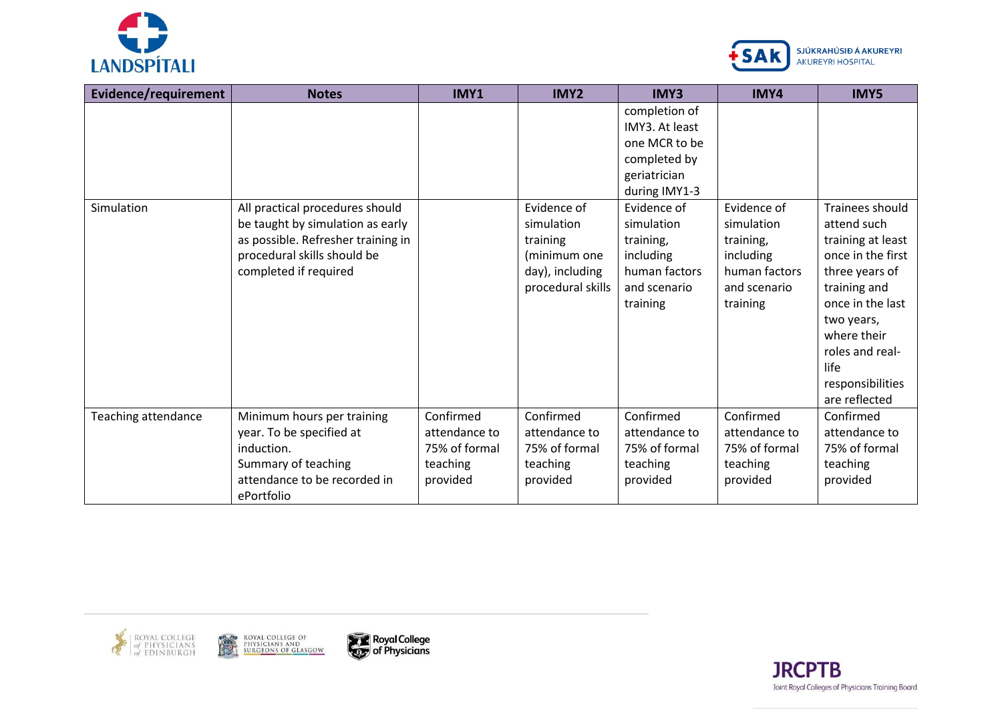



| Evidence/requirement       | <b>Notes</b>                                                                                                                                                      | IMY1                                                                | <b>IMY2</b>                                                                                   | <b>IMY3</b>                                                                                                                                                                                           | IMY4                                                                                             | <b>IMY5</b>                                                                                                                                                                                                                 |
|----------------------------|-------------------------------------------------------------------------------------------------------------------------------------------------------------------|---------------------------------------------------------------------|-----------------------------------------------------------------------------------------------|-------------------------------------------------------------------------------------------------------------------------------------------------------------------------------------------------------|--------------------------------------------------------------------------------------------------|-----------------------------------------------------------------------------------------------------------------------------------------------------------------------------------------------------------------------------|
| Simulation                 | All practical procedures should<br>be taught by simulation as early<br>as possible. Refresher training in<br>procedural skills should be<br>completed if required |                                                                     | Evidence of<br>simulation<br>training<br>(minimum one<br>day), including<br>procedural skills | completion of<br>IMY3. At least<br>one MCR to be<br>completed by<br>geriatrician<br>during IMY1-3<br>Evidence of<br>simulation<br>training,<br>including<br>human factors<br>and scenario<br>training | Evidence of<br>simulation<br>training,<br>including<br>human factors<br>and scenario<br>training | Trainees should<br>attend such<br>training at least<br>once in the first<br>three years of<br>training and<br>once in the last<br>two years,<br>where their<br>roles and real-<br>life<br>responsibilities<br>are reflected |
| <b>Teaching attendance</b> | Minimum hours per training<br>year. To be specified at<br>induction.<br>Summary of teaching<br>attendance to be recorded in<br>ePortfolio                         | Confirmed<br>attendance to<br>75% of formal<br>teaching<br>provided | Confirmed<br>attendance to<br>75% of formal<br>teaching<br>provided                           | Confirmed<br>attendance to<br>75% of formal<br>teaching<br>provided                                                                                                                                   | Confirmed<br>attendance to<br>75% of formal<br>teaching<br>provided                              | Confirmed<br>attendance to<br>75% of formal<br>teaching<br>provided                                                                                                                                                         |







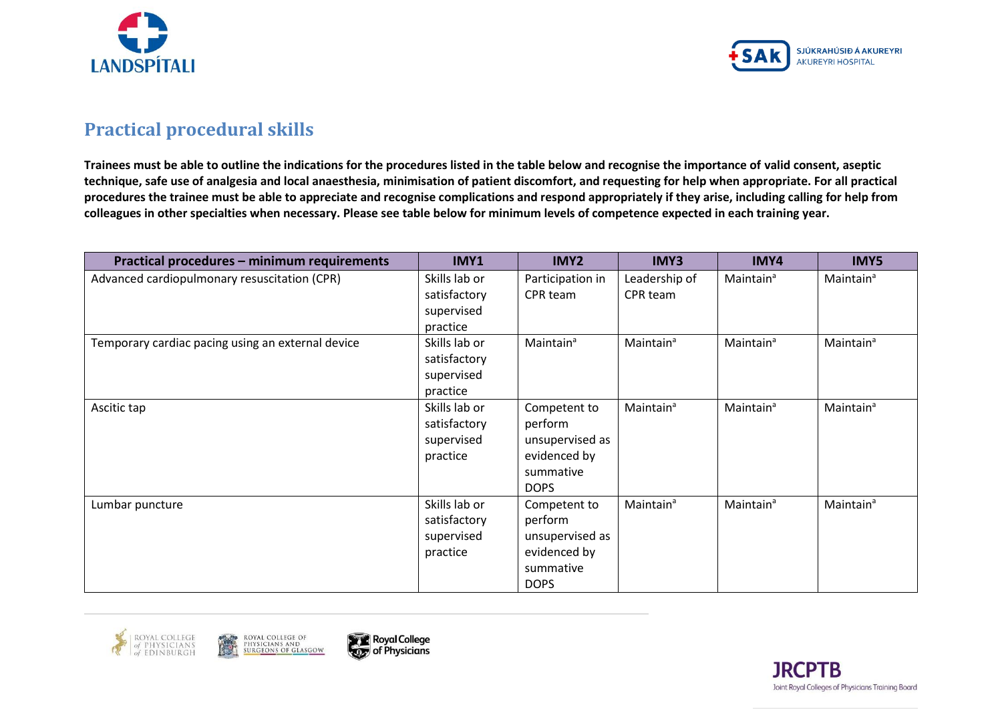



## **Practical procedural skills**

**Trainees must be able to outline the indications for the procedures listed in the table below and recognise the importance of valid consent, aseptic technique, safe use of analgesia and local anaesthesia, minimisation of patient discomfort, and requesting for help when appropriate. For all practical procedures the trainee must be able to appreciate and recognise complications and respond appropriately if they arise, including calling for help from colleagues in other specialties when necessary. Please see table below for minimum levels of competence expected in each training year.**

| Practical procedures - minimum requirements       | IMY1                                                    | IMY2                                                                                   | IMY3                      | IMY4                  | IMY5                  |
|---------------------------------------------------|---------------------------------------------------------|----------------------------------------------------------------------------------------|---------------------------|-----------------------|-----------------------|
| Advanced cardiopulmonary resuscitation (CPR)      | Skills lab or<br>satisfactory<br>supervised<br>practice | Participation in<br>CPR team                                                           | Leadership of<br>CPR team | Maintain <sup>a</sup> | Maintain <sup>a</sup> |
| Temporary cardiac pacing using an external device | Skills lab or<br>satisfactory<br>supervised<br>practice | Maintain <sup>a</sup>                                                                  | Maintain <sup>a</sup>     | Maintain <sup>a</sup> | Maintain <sup>a</sup> |
| Ascitic tap                                       | Skills lab or<br>satisfactory<br>supervised<br>practice | Competent to<br>perform<br>unsupervised as<br>evidenced by<br>summative<br><b>DOPS</b> | Maintain <sup>a</sup>     | Maintain <sup>a</sup> | Maintain <sup>a</sup> |
| Lumbar puncture                                   | Skills lab or<br>satisfactory<br>supervised<br>practice | Competent to<br>perform<br>unsupervised as<br>evidenced by<br>summative<br><b>DOPS</b> | Maintain <sup>a</sup>     | Maintain <sup>a</sup> | Maintain <sup>a</sup> |





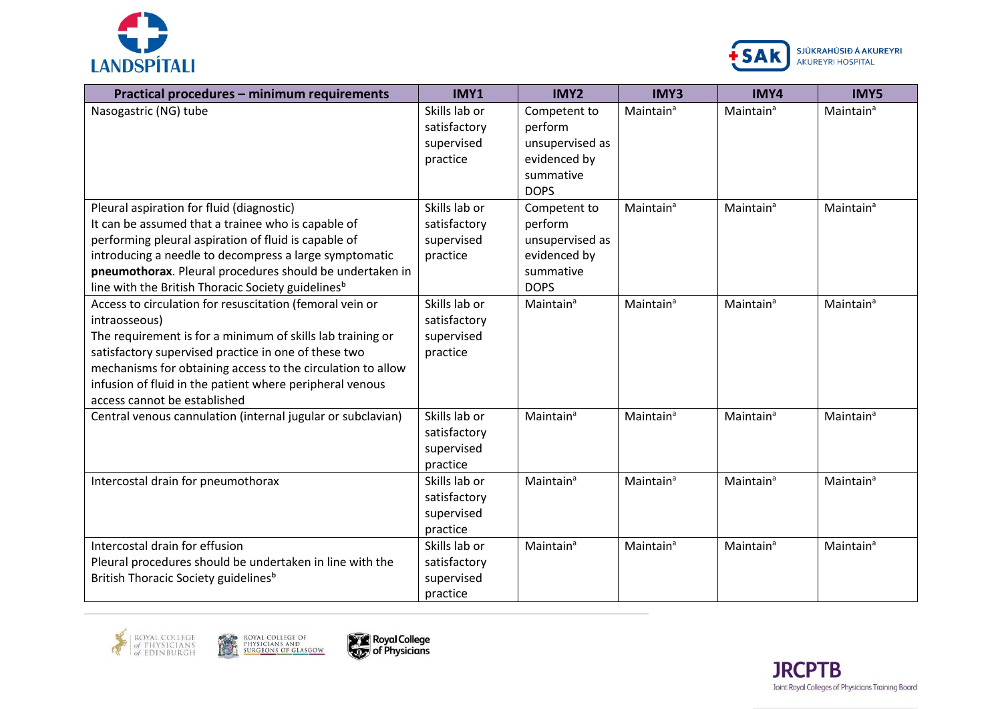



| Practical procedures - minimum requirements                                                                                                                                                                                                                                                                                                                | IMY1                                                    | IMY2                                                                                                  | <b>IMY3</b>           | IMY4                  | <b>IMY5</b>           |
|------------------------------------------------------------------------------------------------------------------------------------------------------------------------------------------------------------------------------------------------------------------------------------------------------------------------------------------------------------|---------------------------------------------------------|-------------------------------------------------------------------------------------------------------|-----------------------|-----------------------|-----------------------|
| Nasogastric (NG) tube                                                                                                                                                                                                                                                                                                                                      | Skills lab or<br>satisfactory<br>supervised<br>practice | Competent to<br>perform<br>unsupervised as<br>evidenced by<br>summative                               | Maintain <sup>a</sup> | Maintain <sup>a</sup> | Maintain <sup>a</sup> |
| Pleural aspiration for fluid (diagnostic)<br>It can be assumed that a trainee who is capable of<br>performing pleural aspiration of fluid is capable of<br>introducing a needle to decompress a large symptomatic<br>pneumothorax. Pleural procedures should be undertaken in<br>line with the British Thoracic Society guidelines <sup>b</sup>            | Skills lab or<br>satisfactory<br>supervised<br>practice | <b>DOPS</b><br>Competent to<br>perform<br>unsupervised as<br>evidenced by<br>summative<br><b>DOPS</b> | Maintain <sup>a</sup> | Maintain <sup>a</sup> | Maintain <sup>a</sup> |
| Access to circulation for resuscitation (femoral vein or<br>intraosseous)<br>The requirement is for a minimum of skills lab training or<br>satisfactory supervised practice in one of these two<br>mechanisms for obtaining access to the circulation to allow<br>infusion of fluid in the patient where peripheral venous<br>access cannot be established | Skills lab or<br>satisfactory<br>supervised<br>practice | Maintain <sup>a</sup>                                                                                 | Maintain <sup>a</sup> | Maintain <sup>a</sup> | Maintain <sup>a</sup> |
| Central venous cannulation (internal jugular or subclavian)                                                                                                                                                                                                                                                                                                | Skills lab or<br>satisfactory<br>supervised<br>practice | Maintain <sup>a</sup>                                                                                 | Maintain <sup>a</sup> | Maintain <sup>a</sup> | Maintain <sup>a</sup> |
| Intercostal drain for pneumothorax                                                                                                                                                                                                                                                                                                                         | Skills lab or<br>satisfactory<br>supervised<br>practice | Maintain <sup>a</sup>                                                                                 | Maintain <sup>a</sup> | Maintain <sup>a</sup> | Maintain <sup>a</sup> |
| Intercostal drain for effusion<br>Pleural procedures should be undertaken in line with the<br>British Thoracic Society guidelines <sup>b</sup>                                                                                                                                                                                                             | Skills lab or<br>satisfactory<br>supervised<br>practice | Maintain <sup>a</sup>                                                                                 | Maintain <sup>a</sup> | Maintain <sup>a</sup> | Maintain <sup>a</sup> |





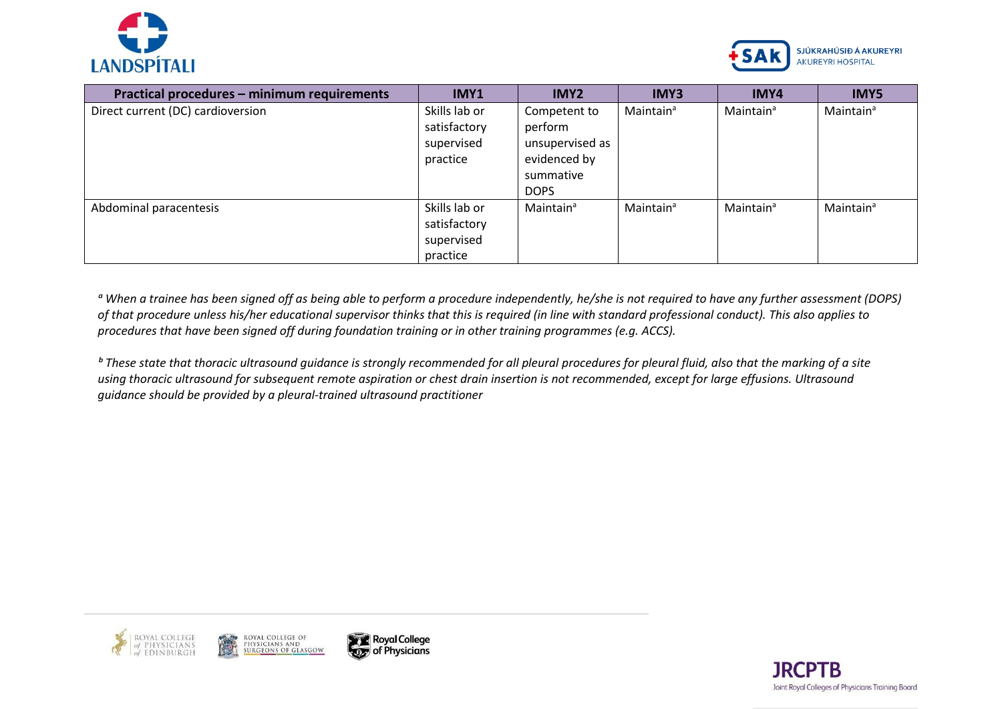



| Practical procedures - minimum requirements | IMY1                                                    | IMY2                                                                                   | IMY3                  | IMY4                  | <b>IMY5</b>           |
|---------------------------------------------|---------------------------------------------------------|----------------------------------------------------------------------------------------|-----------------------|-----------------------|-----------------------|
| Direct current (DC) cardioversion           | Skills lab or<br>satisfactory<br>supervised<br>practice | Competent to<br>perform<br>unsupervised as<br>evidenced by<br>summative<br><b>DOPS</b> | Maintain <sup>a</sup> | Maintain <sup>a</sup> | Maintain <sup>a</sup> |
| Abdominal paracentesis                      | Skills lab or<br>satisfactory<br>supervised<br>practice | Maintain <sup>a</sup>                                                                  | Maintain <sup>a</sup> | Maintain <sup>a</sup> | Maintain <sup>a</sup> |

<sup>a</sup> When a trainee has been signed off as being able to perform a procedure independently, he/she is not required to have any further assessment (DOPS) *of that procedure unless his/her educational supervisor thinks that this is required (in line with standard professional conduct). This also applies to procedures that have been signed off during foundation training or in other training programmes (e.g. ACCS).*

<sup>*b*</sup> These state that thoracic ultrasound quidance is strongly recommended for all pleural procedures for pleural fluid, also that the marking of a site *using thoracic ultrasound for subsequent remote aspiration or chest drain insertion is not recommended, except for large effusions. Ultrasound guidance should be provided by a pleural-trained ultrasound practitioner*